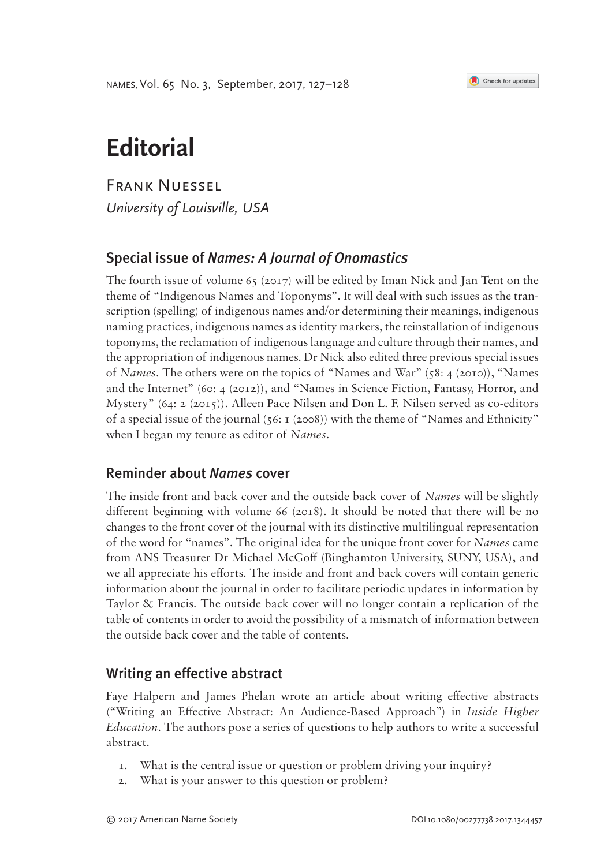Names, Vol. 65 No. 3, September, 2017, 127–128



# **Editorial**

Frank Nuessel *University of Louisville, USA*

## Special issue of *Names: A Journal of Onomastics*

The fourth issue of volume  $65 \, (2017)$  will be edited by Iman Nick and Jan Tent on the theme of "Indigenous Names and Toponyms". It will deal with such issues as the transcription (spelling) of indigenous names and/or determining their meanings, indigenous naming practices, indigenous names as identity markers, the reinstallation of indigenous toponyms, the reclamation of indigenous language and culture through their names, and the appropriation of indigenous names. Dr Nick also edited three previous special issues of *Names*. The others were on the topics of "Names and War" (58: 4 (2010)), "Names and the Internet" (60: 4 (2012)), and "Names in Science Fiction, Fantasy, Horror, and Mystery" (64: 2 (2015)). Alleen Pace Nilsen and Don L. F. Nilsen served as co-editors of a special issue of the journal  $(56: 1 \text{ (2008)})$  with the theme of "Names and Ethnicity" when I began my tenure as editor of *Names*.

### Reminder about *Names* cover

The inside front and back cover and the outside back cover of *Names* will be slightly different beginning with volume 66 (2018). It should be noted that there will be no changes to the front cover of the journal with its distinctive multilingual representation of the word for "names". The original idea for the unique front cover for *Names* came from ANS Treasurer Dr Michael McGoff (Binghamton University, SUNY, USA), and we all appreciate his efforts. The inside and front and back covers will contain generic information about the journal in order to facilitate periodic updates in information by Taylor & Francis. The outside back cover will no longer contain a replication of the table of contents in order to avoid the possibility of a mismatch of information between the outside back cover and the table of contents.

### Writing an effective abstract

Faye Halpern and James Phelan wrote an article about writing effective abstracts ("Writing an Effective Abstract: An Audience-Based Approach") in *Inside Higher Education*. The authors pose a series of questions to help authors to write a successful abstract.

- 1. What is the central issue or question or problem driving your inquiry?
- 2. What is your answer to this question or problem?